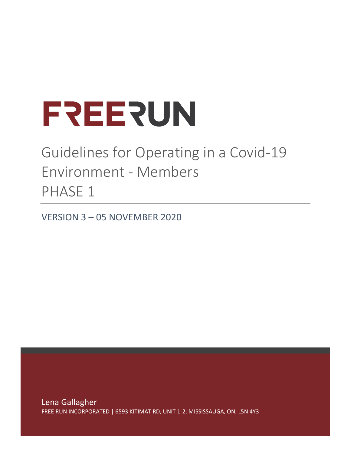# **LSEESNI**

## Guidelines for Operating in a Covid-19 Environment - Members PHASE 1

VERSION 3 – 05 NOVEMBER 2020

Lena Gallagher FREE RUN INCORPORATED | 6593 KITIMAT RD, UNIT 1-2, MISSISSAUGA, ON, L5N 4Y3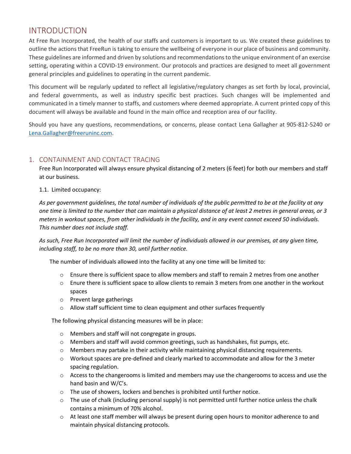### INTRODUCTION

At Free Run Incorporated, the health of our staffs and customers is important to us. We created these guidelines to outline the actions that FreeRun is taking to ensure the wellbeing of everyone in our place of business and community. These guidelines are informed and driven by solutions and recommendations to the unique environment of an exercise setting, operating within a COVID-19 environment. Our protocols and practices are designed to meet all government general principles and guidelines to operating in the current pandemic.

This document will be regularly updated to reflect all legislative/regulatory changes as set forth by local, provincial, and federal governments, as well as industry specific best practices. Such changes will be implemented and communicated in a timely manner to staffs, and customers where deemed appropriate. A current printed copy of this document will always be available and found in the main office and reception area of our facility.

Should you have any questions, recommendations, or concerns, please contact Lena Gallagher at 905-812-5240 or [Lena.Gallagher@freeruninc.com.](mailto:Lena.Gallagher@freeruninc.com)

#### 1. CONTAINMENT AND CONTACT TRACING

Free Run Incorporated will always ensure physical distancing of 2 meters (6 feet) for both our members and staff at our business.

#### 1.1. Limited occupancy:

*As per government guidelines, the total number of individuals of the public permitted to be at the facility at any one time is limited to the number that can maintain a physical distance of at least 2 metres in general areas, or 3 meters in workout spaces, from other individuals in the facility, and in any event cannot exceed 50 individuals. This number does not include staff.*

*As such, Free Run Incorporated will limit the number of individuals allowed in our premises, at any given time, including staff, to be no more than 30, until further notice.*

The number of individuals allowed into the facility at any one time will be limited to:

- $\circ$  Ensure there is sufficient space to allow members and staff to remain 2 metres from one another
- o Enure there is sufficient space to allow clients to remain 3 meters from one another in the workout spaces
- o Prevent large gatherings
- $\circ$  Allow staff sufficient time to clean equipment and other surfaces frequently

The following physical distancing measures will be in place:

- o Members and staff will not congregate in groups.
- $\circ$  Members and staff will avoid common greetings, such as handshakes, fist pumps, etc.
- $\circ$  Members may partake in their activity while maintaining physical distancing requirements.
- o Workout spaces are pre-defined and clearly marked to accommodate and allow for the 3 meter spacing regulation.
- $\circ$  Access to the changerooms is limited and members may use the changerooms to access and use the hand basin and W/C's.
- $\circ$  The use of showers, lockers and benches is prohibited until further notice.
- $\circ$  The use of chalk (including personal supply) is not permitted until further notice unless the chalk contains a minimum of 70% alcohol.
- $\circ$  At least one staff member will always be present during open hours to monitor adherence to and maintain physical distancing protocols.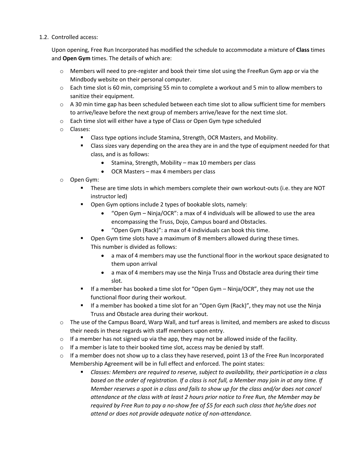#### 1.2. Controlled access:

Upon opening, Free Run Incorporated has modified the schedule to accommodate a mixture of **Class** times and **Open Gym** times. The details of which are:

- o Members will need to pre-register and book their time slot using the FreeRun Gym app or via the Mindbody website on their personal computer.
- o Each time slot is 60 min, comprising 55 min to complete a workout and 5 min to allow members to sanitize their equipment.
- o A 30 min time gap has been scheduled between each time slot to allow sufficient time for members to arrive/leave before the next group of members arrive/leave for the next time slot.
- $\circ$  Each time slot will either have a type of Class or Open Gym type scheduled
- o Classes:
	- Class type options include Stamina, Strength, OCR Masters, and Mobility.
	- **Class sizes vary depending on the area they are in and the type of equipment needed for that** class, and is as follows:
		- Stamina, Strength, Mobility max 10 members per class
		- OCR Masters max 4 members per class
- o Open Gym:
	- These are time slots in which members complete their own workout-outs (i.e. they are NOT instructor led)
	- **•** Open Gym options include 2 types of bookable slots, namely:
		- "Open Gym Ninja/OCR": a max of 4 individuals will be allowed to use the area encompassing the Truss, Dojo, Campus board and Obstacles.
		- "Open Gym (Rack)": a max of 4 individuals can book this time.
	- **Den Gym time slots have a maximum of 8 members allowed during these times.** This number is divided as follows:
		- a max of 4 members may use the functional floor in the workout space designated to them upon arrival
		- a max of 4 members may use the Ninja Truss and Obstacle area during their time slot.
	- If a member has booked a time slot for "Open Gym Ninja/OCR", they may not use the functional floor during their workout.
	- If a member has booked a time slot for an "Open Gym (Rack)", they may not use the Ninja Truss and Obstacle area during their workout.
- $\circ$  The use of the Campus Board, Warp Wall, and turf areas is limited, and members are asked to discuss their needs in these regards with staff members upon entry.
- $\circ$  If a member has not signed up via the app, they may not be allowed inside of the facility.
- o If a member is late to their booked time slot, access may be denied by staff.
- $\circ$  If a member does not show up to a class they have reserved, point 13 of the Free Run Incorporated Membership Agreement will be in full effect and enforced. The point states:
	- *Classes: Members are required to reserve, subject to availability, their participation in a class based on the order of registration. If a class is not full, a Member may join in at any time. If Member reserves a spot in a class and fails to show up for the class and/or does not cancel attendance at the class with at least 2 hours prior notice to Free Run, the Member may be required by Free Run to pay a no-show fee of \$5 for each such class that he/she does not attend or does not provide adequate notice of non-attendance.*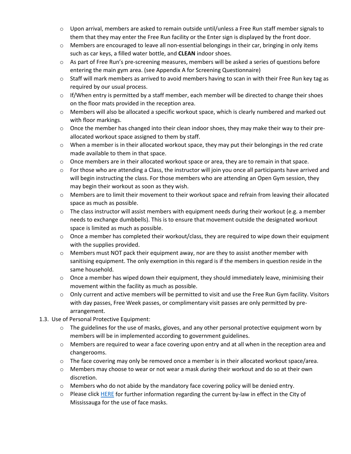- $\circ$  Upon arrival, members are asked to remain outside until/unless a Free Run staff member signals to them that they may enter the Free Run facility or the Enter sign is displayed by the front door.
- $\circ$  Members are encouraged to leave all non-essential belongings in their car, bringing in only items such as car keys, a filled water bottle, and **CLEAN** indoor shoes.
- $\circ$  As part of Free Run's pre-screening measures, members will be asked a series of questions before entering the main gym area. (see Appendix A for Screening Questionnaire)
- $\circ$  Staff will mark members as arrived to avoid members having to scan in with their Free Run key tag as required by our usual process.
- $\circ$  If/When entry is permitted by a staff member, each member will be directed to change their shoes on the floor mats provided in the reception area.
- $\circ$  Members will also be allocated a specific workout space, which is clearly numbered and marked out with floor markings.
- $\circ$  Once the member has changed into their clean indoor shoes, they may make their way to their preallocated workout space assigned to them by staff.
- $\circ$  When a member is in their allocated workout space, they may put their belongings in the red crate made available to them in that space.
- $\circ$  Once members are in their allocated workout space or area, they are to remain in that space.
- $\circ$  For those who are attending a Class, the instructor will join you once all participants have arrived and will begin instructing the class. For those members who are attending an Open Gym session, they may begin their workout as soon as they wish.
- o Members are to limit their movement to their workout space and refrain from leaving their allocated space as much as possible.
- $\circ$  The class instructor will assist members with equipment needs during their workout (e.g. a member needs to exchange dumbbells). This is to ensure that movement outside the designated workout space is limited as much as possible.
- $\circ$  Once a member has completed their workout/class, they are required to wipe down their equipment with the supplies provided.
- $\circ$  Members must NOT pack their equipment away, nor are they to assist another member with sanitising equipment. The only exemption in this regard is if the members in question reside in the same household.
- $\circ$  Once a member has wiped down their equipment, they should immediately leave, minimising their movement within the facility as much as possible.
- $\circ$  Only current and active members will be permitted to visit and use the Free Run Gym facility. Visitors with day passes, Free Week passes, or complimentary visit passes are only permitted by prearrangement.
- 1.3. Use of Personal Protective Equipment:
	- $\circ$  The guidelines for the use of masks, gloves, and any other personal protective equipment worn by members will be in implemented according to government guidelines.
	- $\circ$  Members are required to wear a face covering upon entry and at all when in the reception area and changerooms.
	- $\circ$  The face covering may only be removed once a member is in their allocated workout space/area.
	- o Members may choose to wear or not wear a mask *during* their workout and do so at their own discretion.
	- $\circ$  Members who do not abide by the mandatory face covering policy will be denied entry.
	- o Please clic[k HERE](https://web.mississauga.ca/city-of-mississauga-news/covid-19-recovery/mandatory-face-covering-by-law/) for further information regarding the current by-law in effect in the City of Mississauga for the use of face masks.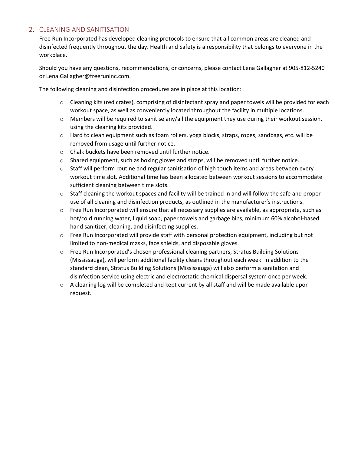#### 2. CLEANING AND SANITISATION

Free Run Incorporated has developed cleaning protocols to ensure that all common areas are cleaned and disinfected frequently throughout the day. Health and Safety is a responsibility that belongs to everyone in the workplace.

Should you have any questions, recommendations, or concerns, please contact Lena Gallagher at 905-812-5240 or Lena.Gallagher@freeruninc.com.

The following cleaning and disinfection procedures are in place at this location:

- o Cleaning kits (red crates), comprising of disinfectant spray and paper towels will be provided for each workout space, as well as conveniently located throughout the facility in multiple locations.
- $\circ$  Members will be required to sanitise any/all the equipment they use during their workout session, using the cleaning kits provided.
- $\circ$  Hard to clean equipment such as foam rollers, yoga blocks, straps, ropes, sandbags, etc. will be removed from usage until further notice.
- o Chalk buckets have been removed until further notice.
- o Shared equipment, such as boxing gloves and straps, will be removed until further notice.
- $\circ$  Staff will perform routine and regular sanitisation of high touch items and areas between every workout time slot. Additional time has been allocated between workout sessions to accommodate sufficient cleaning between time slots.
- $\circ$  Staff cleaning the workout spaces and facility will be trained in and will follow the safe and proper use of all cleaning and disinfection products, as outlined in the manufacturer's instructions.
- $\circ$  Free Run Incorporated will ensure that all necessary supplies are available, as appropriate, such as hot/cold running water, liquid soap, paper towels and garbage bins, minimum 60% alcohol-based hand sanitizer, cleaning, and disinfecting supplies.
- $\circ$  Free Run Incorporated will provide staff with personal protection equipment, including but not limited to non-medical masks, face shields, and disposable gloves.
- o Free Run Incorporated's chosen professional cleaning partners, Stratus Building Solutions (Mississauga), will perform additional facility cleans throughout each week. In addition to the standard clean, Stratus Building Solutions (Mississauga) will also perform a sanitation and disinfection service using electric and electrostatic chemical dispersal system once per week.
- $\circ$  A cleaning log will be completed and kept current by all staff and will be made available upon request.